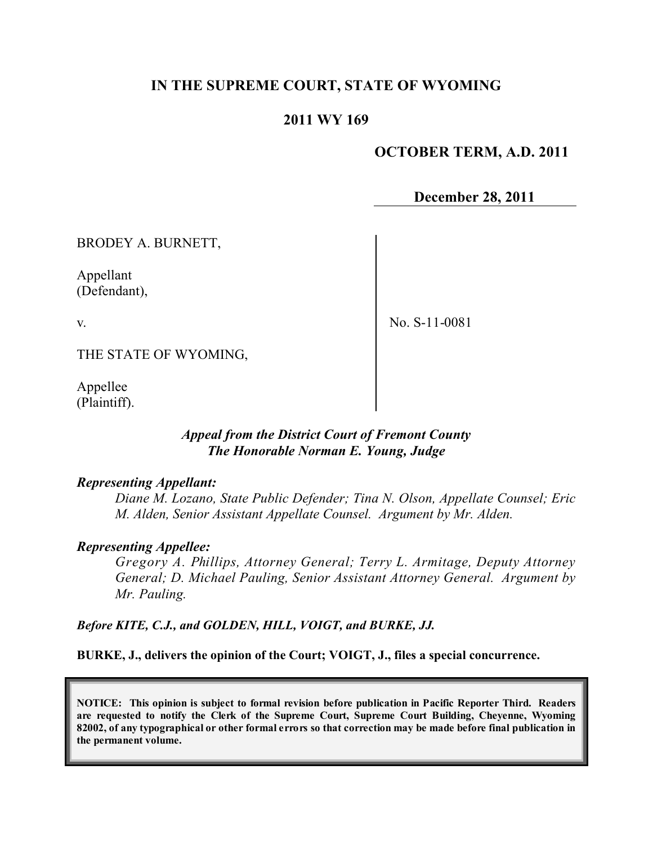# **IN THE SUPREME COURT, STATE OF WYOMING**

# **2011 WY 169**

# **OCTOBER TERM, A.D. 2011**

**December 28, 2011**

BRODEY A. BURNETT,

Appellant (Defendant),

v.

No. S-11-0081

THE STATE OF WYOMING,

Appellee (Plaintiff).

## *Appeal from the District Court of Fremont County The Honorable Norman E. Young, Judge*

#### *Representing Appellant:*

*Diane M. Lozano, State Public Defender; Tina N. Olson, Appellate Counsel; Eric M. Alden, Senior Assistant Appellate Counsel. Argument by Mr. Alden.*

#### *Representing Appellee:*

*Gregory A. Phillips, Attorney General; Terry L. Armitage, Deputy Attorney General; D. Michael Pauling, Senior Assistant Attorney General. Argument by Mr. Pauling.*

*Before KITE, C.J., and GOLDEN, HILL, VOIGT, and BURKE, JJ.*

**BURKE, J., delivers the opinion of the Court; VOIGT, J., files a special concurrence.**

**NOTICE: This opinion is subject to formal revision before publication in Pacific Reporter Third. Readers are requested to notify the Clerk of the Supreme Court, Supreme Court Building, Cheyenne, Wyoming** 82002, of any typographical or other formal errors so that correction may be made before final publication in **the permanent volume.**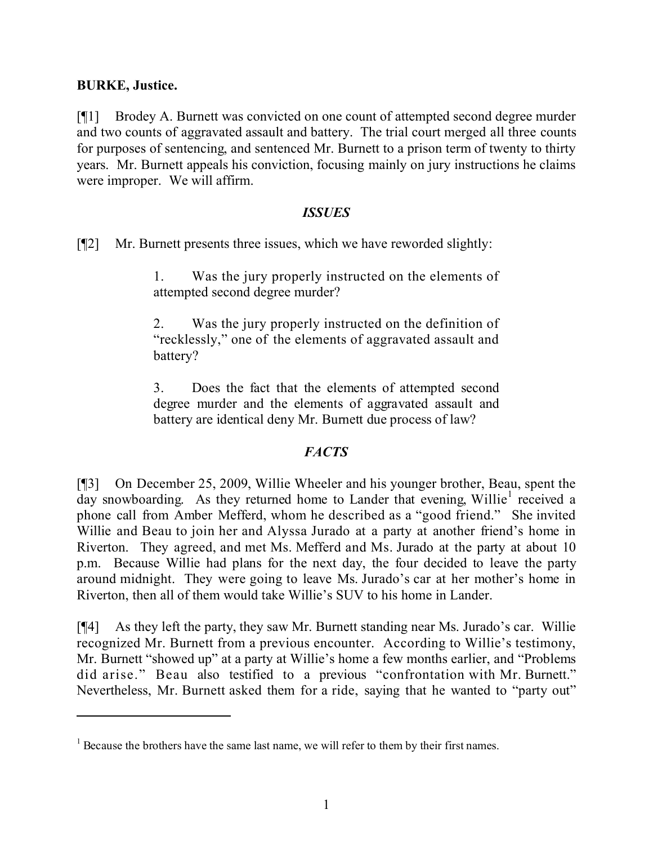# **BURKE, Justice.**

[¶1] Brodey A. Burnett was convicted on one count of attempted second degree murder and two counts of aggravated assault and battery. The trial court merged all three counts for purposes of sentencing, and sentenced Mr. Burnett to a prison term of twenty to thirty years. Mr. Burnett appeals his conviction, focusing mainly on jury instructions he claims were improper. We will affirm.

### *ISSUES*

[¶2] Mr. Burnett presents three issues, which we have reworded slightly:

1. Was the jury properly instructed on the elements of attempted second degree murder?

2. Was the jury properly instructed on the definition of "recklessly," one of the elements of aggravated assault and battery?

3. Does the fact that the elements of attempted second degree murder and the elements of aggravated assault and battery are identical deny Mr. Burnett due process of law?

# *FACTS*

[¶3] On December 25, 2009, Willie Wheeler and his younger brother, Beau, spent the day snowboarding. As they returned home to Lander that evening, Willie<sup>1</sup> received a phone call from Amber Mefferd, whom he described as a "good friend." She invited Willie and Beau to join her and Alyssa Jurado at a party at another friend's home in Riverton. They agreed, and met Ms. Mefferd and Ms. Jurado at the party at about 10 p.m. Because Willie had plans for the next day, the four decided to leave the party around midnight. They were going to leave Ms. Jurado's car at her mother's home in Riverton, then all of them would take Willie's SUV to his home in Lander.

[¶4] As they left the party, they saw Mr. Burnett standing near Ms. Jurado's car. Willie recognized Mr. Burnett from a previous encounter. According to Willie's testimony, Mr. Burnett "showed up" at a party at Willie's home a few months earlier, and "Problems did arise." Beau also testified to a previous "confrontation with Mr. Burnett." Nevertheless, Mr. Burnett asked them for a ride, saying that he wanted to "party out"

 $<sup>1</sup>$  Because the brothers have the same last name, we will refer to them by their first names.</sup>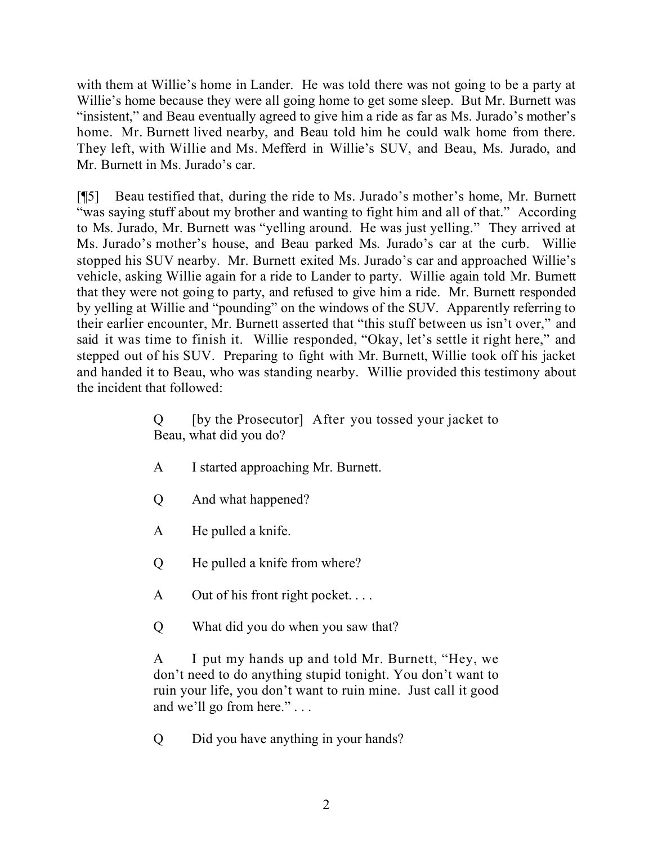with them at Willie's home in Lander. He was told there was not going to be a party at Willie's home because they were all going home to get some sleep. But Mr. Burnett was "insistent," and Beau eventually agreed to give him a ride as far as Ms. Jurado's mother's home. Mr. Burnett lived nearby, and Beau told him he could walk home from there. They left, with Willie and Ms. Mefferd in Willie's SUV, and Beau, Ms. Jurado, and Mr. Burnett in Ms. Jurado's car.

[¶5] Beau testified that, during the ride to Ms. Jurado's mother's home, Mr. Burnett "was saying stuff about my brother and wanting to fight him and all of that." According to Ms. Jurado, Mr. Burnett was "yelling around. He was just yelling." They arrived at Ms. Jurado's mother's house, and Beau parked Ms. Jurado's car at the curb. Willie stopped his SUV nearby. Mr. Burnett exited Ms. Jurado's car and approached Willie's vehicle, asking Willie again for a ride to Lander to party. Willie again told Mr. Burnett that they were not going to party, and refused to give him a ride. Mr. Burnett responded by yelling at Willie and "pounding" on the windows of the SUV. Apparently referring to their earlier encounter, Mr. Burnett asserted that "this stuff between us isn't over," and said it was time to finish it. Willie responded, "Okay, let's settle it right here," and stepped out of his SUV. Preparing to fight with Mr. Burnett, Willie took off his jacket and handed it to Beau, who was standing nearby. Willie provided this testimony about the incident that followed:

> Q [by the Prosecutor] After you tossed your jacket to Beau, what did you do?

- A I started approaching Mr. Burnett.
- Q And what happened?
- A He pulled a knife.
- Q He pulled a knife from where?
- A Out of his front right pocket. . . .
- Q What did you do when you saw that?

A I put my hands up and told Mr. Burnett, "Hey, we don't need to do anything stupid tonight. You don't want to ruin your life, you don't want to ruin mine. Just call it good and we'll go from here." . . .

Q Did you have anything in your hands?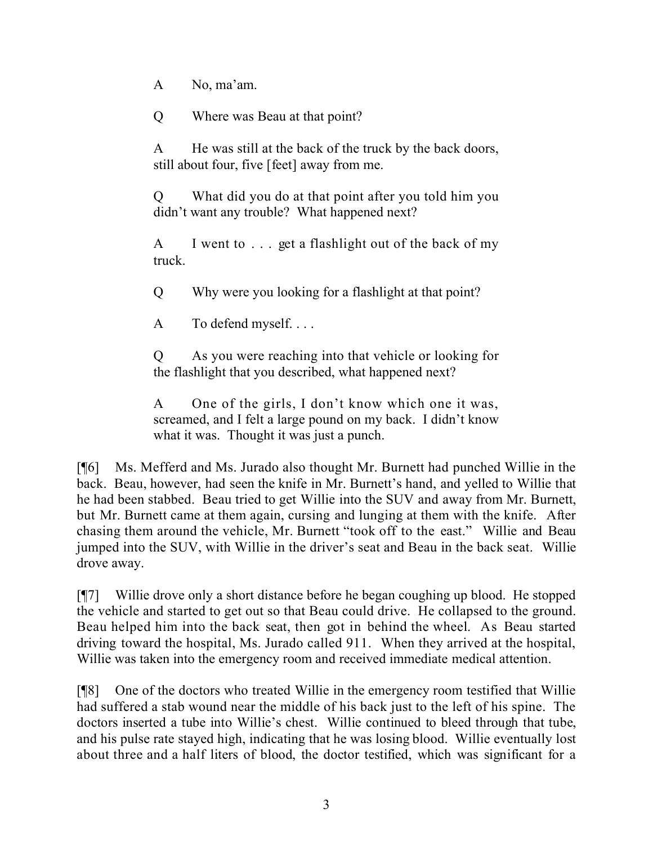A No, ma'am.

Q Where was Beau at that point?

A He was still at the back of the truck by the back doors, still about four, five [feet] away from me.

Q What did you do at that point after you told him you didn't want any trouble? What happened next?

A I went to . . . get a flashlight out of the back of my truck.

Q Why were you looking for a flashlight at that point?

A To defend myself. . . .

Q As you were reaching into that vehicle or looking for the flashlight that you described, what happened next?

A One of the girls, I don't know which one it was, screamed, and I felt a large pound on my back. I didn't know what it was. Thought it was just a punch.

[¶6] Ms. Mefferd and Ms. Jurado also thought Mr. Burnett had punched Willie in the back. Beau, however, had seen the knife in Mr. Burnett's hand, and yelled to Willie that he had been stabbed. Beau tried to get Willie into the SUV and away from Mr. Burnett, but Mr. Burnett came at them again, cursing and lunging at them with the knife. After chasing them around the vehicle, Mr. Burnett "took off to the east." Willie and Beau jumped into the SUV, with Willie in the driver's seat and Beau in the back seat. Willie drove away.

[¶7] Willie drove only a short distance before he began coughing up blood. He stopped the vehicle and started to get out so that Beau could drive. He collapsed to the ground. Beau helped him into the back seat, then got in behind the wheel. As Beau started driving toward the hospital, Ms. Jurado called 911. When they arrived at the hospital, Willie was taken into the emergency room and received immediate medical attention.

[¶8] One of the doctors who treated Willie in the emergency room testified that Willie had suffered a stab wound near the middle of his back just to the left of his spine. The doctors inserted a tube into Willie's chest. Willie continued to bleed through that tube, and his pulse rate stayed high, indicating that he was losing blood. Willie eventually lost about three and a half liters of blood, the doctor testified, which was significant for a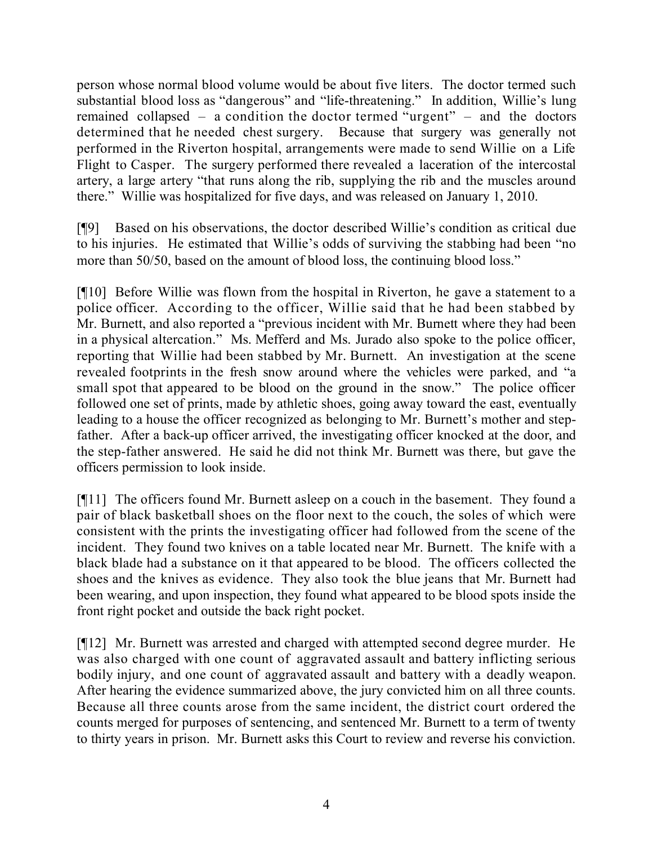person whose normal blood volume would be about five liters. The doctor termed such substantial blood loss as "dangerous" and "life-threatening." In addition, Willie's lung remained collapsed – a condition the doctor termed "urgent" – and the doctors determined that he needed chest surgery. Because that surgery was generally not performed in the Riverton hospital, arrangements were made to send Willie on a Life Flight to Casper. The surgery performed there revealed a laceration of the intercostal artery, a large artery "that runs along the rib, supplying the rib and the muscles around there." Willie was hospitalized for five days, and was released on January 1, 2010.

[¶9] Based on his observations, the doctor described Willie's condition as critical due to his injuries. He estimated that Willie's odds of surviving the stabbing had been "no more than 50/50, based on the amount of blood loss, the continuing blood loss."

[¶10] Before Willie was flown from the hospital in Riverton, he gave a statement to a police officer. According to the officer, Willie said that he had been stabbed by Mr. Burnett, and also reported a "previous incident with Mr. Burnett where they had been in a physical altercation." Ms. Mefferd and Ms. Jurado also spoke to the police officer, reporting that Willie had been stabbed by Mr. Burnett. An investigation at the scene revealed footprints in the fresh snow around where the vehicles were parked, and "a small spot that appeared to be blood on the ground in the snow." The police officer followed one set of prints, made by athletic shoes, going away toward the east, eventually leading to a house the officer recognized as belonging to Mr. Burnett's mother and stepfather. After a back-up officer arrived, the investigating officer knocked at the door, and the step-father answered. He said he did not think Mr. Burnett was there, but gave the officers permission to look inside.

[¶11] The officers found Mr. Burnett asleep on a couch in the basement. They found a pair of black basketball shoes on the floor next to the couch, the soles of which were consistent with the prints the investigating officer had followed from the scene of the incident. They found two knives on a table located near Mr. Burnett. The knife with a black blade had a substance on it that appeared to be blood. The officers collected the shoes and the knives as evidence. They also took the blue jeans that Mr. Burnett had been wearing, and upon inspection, they found what appeared to be blood spots inside the front right pocket and outside the back right pocket.

[¶12] Mr. Burnett was arrested and charged with attempted second degree murder. He was also charged with one count of aggravated assault and battery inflicting serious bodily injury, and one count of aggravated assault and battery with a deadly weapon. After hearing the evidence summarized above, the jury convicted him on all three counts. Because all three counts arose from the same incident, the district court ordered the counts merged for purposes of sentencing, and sentenced Mr. Burnett to a term of twenty to thirty years in prison. Mr. Burnett asks this Court to review and reverse his conviction.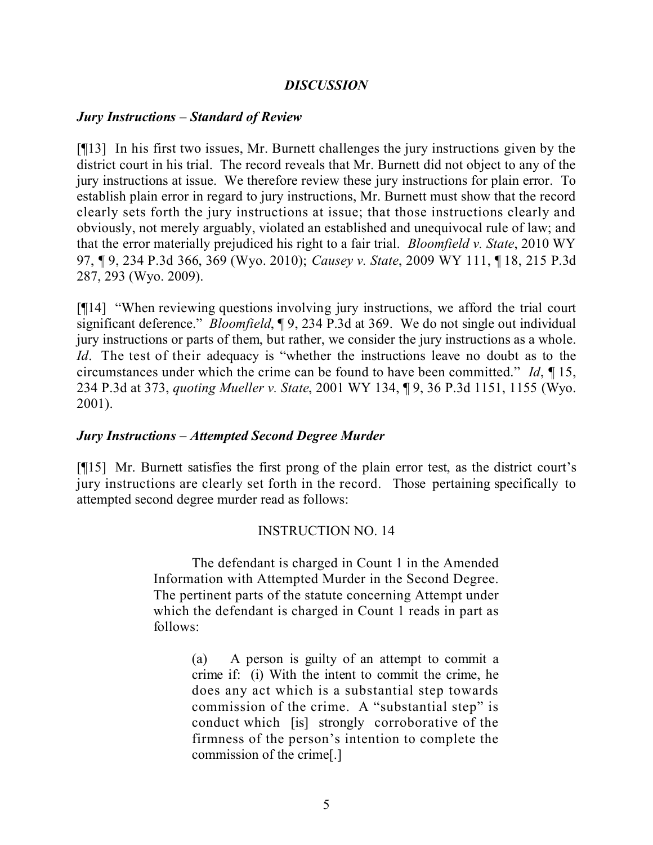## *DISCUSSION*

## *Jury Instructions – Standard of Review*

[¶13] In his first two issues, Mr. Burnett challenges the jury instructions given by the district court in his trial. The record reveals that Mr. Burnett did not object to any of the jury instructions at issue. We therefore review these jury instructions for plain error. To establish plain error in regard to jury instructions, Mr. Burnett must show that the record clearly sets forth the jury instructions at issue; that those instructions clearly and obviously, not merely arguably, violated an established and unequivocal rule of law; and that the error materially prejudiced his right to a fair trial. *Bloomfield v. State*, 2010 WY 97, ¶ 9, 234 P.3d 366, 369 (Wyo. 2010); *Causey v. State*, 2009 WY 111, ¶ 18, 215 P.3d 287, 293 (Wyo. 2009).

[¶14] "When reviewing questions involving jury instructions, we afford the trial court significant deference." *Bloomfield*, ¶ 9, 234 P.3d at 369. We do not single out individual jury instructions or parts of them, but rather, we consider the jury instructions as a whole. *Id*. The test of their adequacy is "whether the instructions leave no doubt as to the circumstances under which the crime can be found to have been committed." *Id*, ¶ 15, 234 P.3d at 373, *quoting Mueller v. State*, 2001 WY 134, ¶ 9, 36 P.3d 1151, 1155 (Wyo. 2001).

### *Jury Instructions – Attempted Second Degree Murder*

[¶15] Mr. Burnett satisfies the first prong of the plain error test, as the district court's jury instructions are clearly set forth in the record. Those pertaining specifically to attempted second degree murder read as follows:

### INSTRUCTION NO. 14

The defendant is charged in Count 1 in the Amended Information with Attempted Murder in the Second Degree. The pertinent parts of the statute concerning Attempt under which the defendant is charged in Count 1 reads in part as follows:

> (a) A person is guilty of an attempt to commit a crime if: (i) With the intent to commit the crime, he does any act which is a substantial step towards commission of the crime. A "substantial step" is conduct which [is] strongly corroborative of the firmness of the person's intention to complete the commission of the crime[.]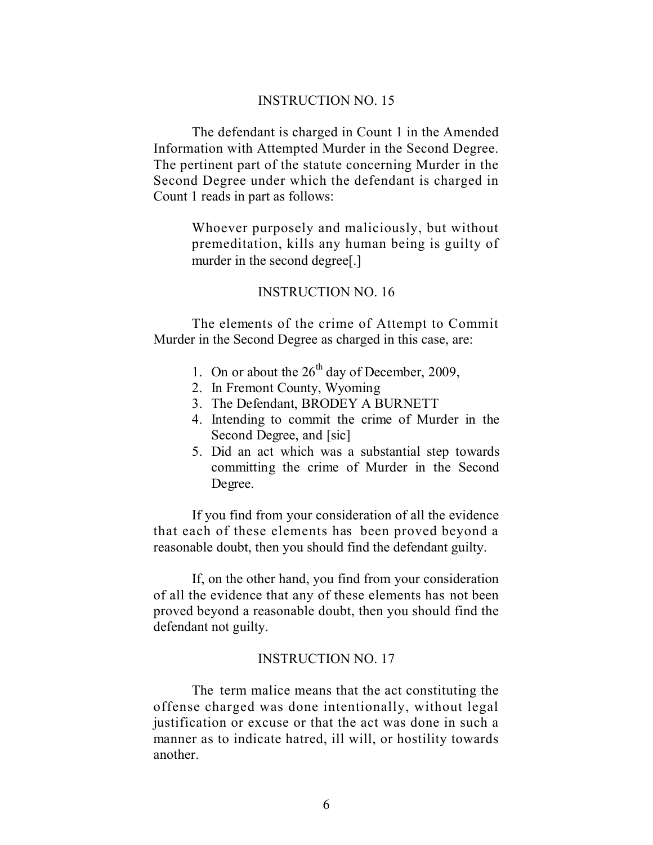#### INSTRUCTION NO. 15

The defendant is charged in Count 1 in the Amended Information with Attempted Murder in the Second Degree. The pertinent part of the statute concerning Murder in the Second Degree under which the defendant is charged in Count 1 reads in part as follows:

> Whoever purposely and maliciously, but without premeditation, kills any human being is guilty of murder in the second degree[.]

#### INSTRUCTION NO. 16

The elements of the crime of Attempt to Commit Murder in the Second Degree as charged in this case, are:

- 1. On or about the  $26<sup>th</sup>$  day of December, 2009,
- 2. In Fremont County, Wyoming
- 3. The Defendant, BRODEY A BURNETT
- 4. Intending to commit the crime of Murder in the Second Degree, and [sic]
- 5. Did an act which was a substantial step towards committing the crime of Murder in the Second Degree.

If you find from your consideration of all the evidence that each of these elements has been proved beyond a reasonable doubt, then you should find the defendant guilty.

If, on the other hand, you find from your consideration of all the evidence that any of these elements has not been proved beyond a reasonable doubt, then you should find the defendant not guilty.

#### INSTRUCTION NO. 17

The term malice means that the act constituting the offense charged was done intentionally, without legal justification or excuse or that the act was done in such a manner as to indicate hatred, ill will, or hostility towards another.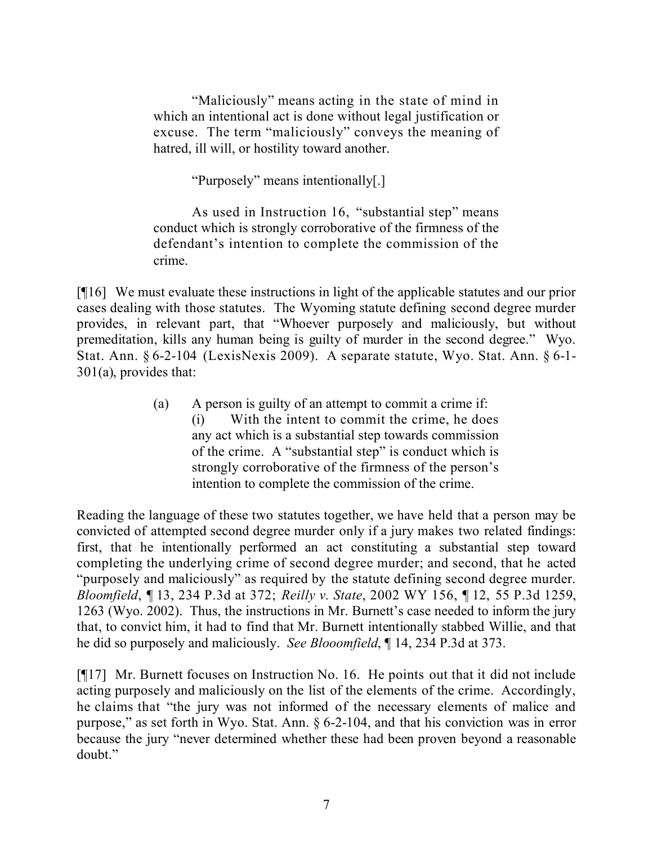"Maliciously" means acting in the state of mind in which an intentional act is done without legal justification or excuse. The term "maliciously" conveys the meaning of hatred, ill will, or hostility toward another.

"Purposely" means intentionally[.]

As used in Instruction 16, "substantial step" means conduct which is strongly corroborative of the firmness of the defendant's intention to complete the commission of the crime.

[¶16] We must evaluate these instructions in light of the applicable statutes and our prior cases dealing with those statutes. The Wyoming statute defining second degree murder provides, in relevant part, that "Whoever purposely and maliciously, but without premeditation, kills any human being is guilty of murder in the second degree." Wyo. Stat. Ann. § 6-2-104 (LexisNexis 2009). A separate statute, Wyo. Stat. Ann. § 6-1- 301(a), provides that:

> (a) A person is guilty of an attempt to commit a crime if: (i) With the intent to commit the crime, he does any act which is a substantial step towards commission of the crime. A "substantial step" is conduct which is strongly corroborative of the firmness of the person's intention to complete the commission of the crime.

Reading the language of these two statutes together, we have held that a person may be convicted of attempted second degree murder only if a jury makes two related findings: first, that he intentionally performed an act constituting a substantial step toward completing the underlying crime of second degree murder; and second, that he acted "purposely and maliciously" as required by the statute defining second degree murder. *Bloomfield*, ¶ 13, 234 P.3d at 372; *Reilly v. State*, 2002 WY 156, ¶ 12, 55 P.3d 1259, 1263 (Wyo. 2002). Thus, the instructions in Mr. Burnett's case needed to inform the jury that, to convict him, it had to find that Mr. Burnett intentionally stabbed Willie, and that he did so purposely and maliciously. *See Blooomfield*, ¶ 14, 234 P.3d at 373.

[¶17] Mr. Burnett focuses on Instruction No. 16. He points out that it did not include acting purposely and maliciously on the list of the elements of the crime. Accordingly, he claims that "the jury was not informed of the necessary elements of malice and purpose," as set forth in Wyo. Stat. Ann. § 6-2-104, and that his conviction was in error because the jury "never determined whether these had been proven beyond a reasonable doubt."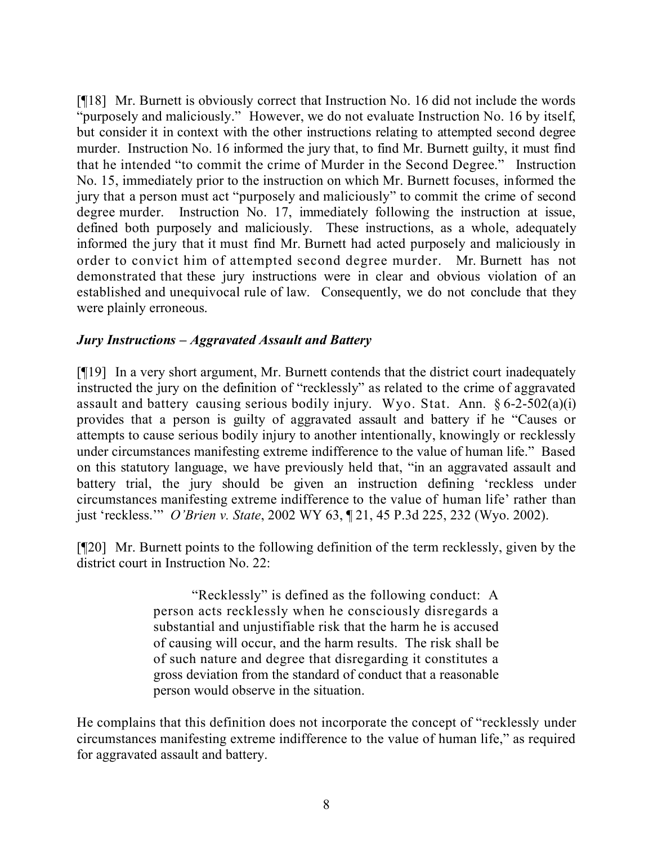[¶18] Mr. Burnett is obviously correct that Instruction No. 16 did not include the words "purposely and maliciously." However, we do not evaluate Instruction No. 16 by itself, but consider it in context with the other instructions relating to attempted second degree murder. Instruction No. 16 informed the jury that, to find Mr. Burnett guilty, it must find that he intended "to commit the crime of Murder in the Second Degree." Instruction No. 15, immediately prior to the instruction on which Mr. Burnett focuses, informed the jury that a person must act "purposely and maliciously" to commit the crime of second degree murder. Instruction No. 17, immediately following the instruction at issue, defined both purposely and maliciously. These instructions, as a whole, adequately informed the jury that it must find Mr. Burnett had acted purposely and maliciously in order to convict him of attempted second degree murder. Mr. Burnett has not demonstrated that these jury instructions were in clear and obvious violation of an established and unequivocal rule of law. Consequently, we do not conclude that they were plainly erroneous.

# *Jury Instructions – Aggravated Assault and Battery*

[¶19] In a very short argument, Mr. Burnett contends that the district court inadequately instructed the jury on the definition of "recklessly" as related to the crime of aggravated assault and battery causing serious bodily injury. Wyo. Stat. Ann. § 6-2-502(a)(i) provides that a person is guilty of aggravated assault and battery if he "Causes or attempts to cause serious bodily injury to another intentionally, knowingly or recklessly under circumstances manifesting extreme indifference to the value of human life." Based on this statutory language, we have previously held that, "in an aggravated assault and battery trial, the jury should be given an instruction defining 'reckless under circumstances manifesting extreme indifference to the value of human life' rather than just 'reckless.'" *O'Brien v. State*, 2002 WY 63, ¶ 21, 45 P.3d 225, 232 (Wyo. 2002).

[¶20] Mr. Burnett points to the following definition of the term recklessly, given by the district court in Instruction No. 22:

> "Recklessly" is defined as the following conduct: A person acts recklessly when he consciously disregards a substantial and unjustifiable risk that the harm he is accused of causing will occur, and the harm results. The risk shall be of such nature and degree that disregarding it constitutes a gross deviation from the standard of conduct that a reasonable person would observe in the situation.

He complains that this definition does not incorporate the concept of "recklessly under circumstances manifesting extreme indifference to the value of human life," as required for aggravated assault and battery.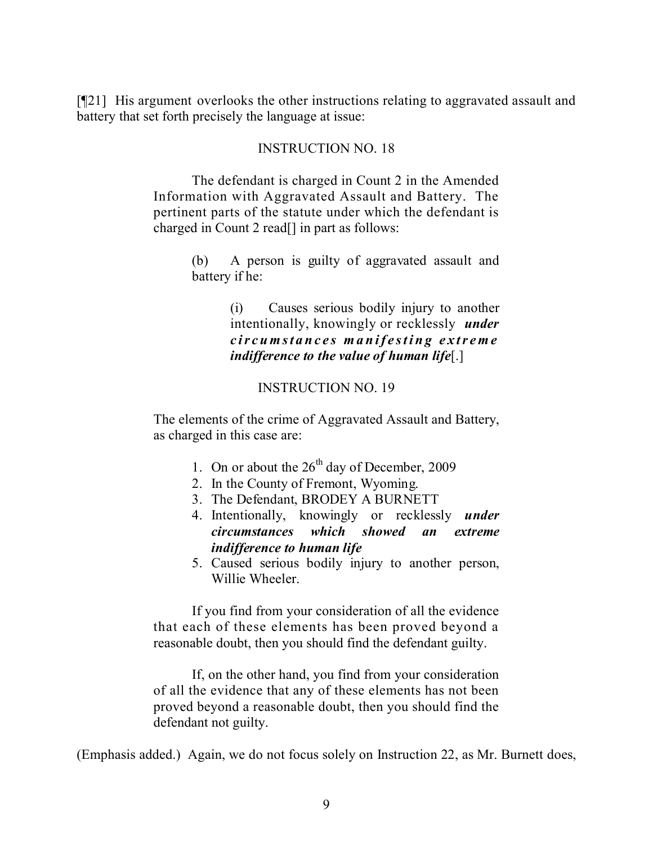[¶21] His argument overlooks the other instructions relating to aggravated assault and battery that set forth precisely the language at issue:

#### INSTRUCTION NO. 18

The defendant is charged in Count 2 in the Amended Information with Aggravated Assault and Battery. The pertinent parts of the statute under which the defendant is charged in Count 2 read[] in part as follows:

> (b) A person is guilty of aggravated assault and battery if he:

> > (i) Causes serious bodily injury to another intentionally, knowingly or recklessly *under circumstances manifesting extreme indifference to the value of human life*[.]

## INSTRUCTION NO. 19

The elements of the crime of Aggravated Assault and Battery, as charged in this case are:

- 1. On or about the  $26<sup>th</sup>$  day of December, 2009
- 2. In the County of Fremont, Wyoming.
- 3. The Defendant, BRODEY A BURNETT
- 4. Intentionally, knowingly or recklessly *under circumstances which showed an extreme indifference to human life*
- 5. Caused serious bodily injury to another person, Willie Wheeler.

If you find from your consideration of all the evidence that each of these elements has been proved beyond a reasonable doubt, then you should find the defendant guilty.

If, on the other hand, you find from your consideration of all the evidence that any of these elements has not been proved beyond a reasonable doubt, then you should find the defendant not guilty.

(Emphasis added.) Again, we do not focus solely on Instruction 22, as Mr. Burnett does,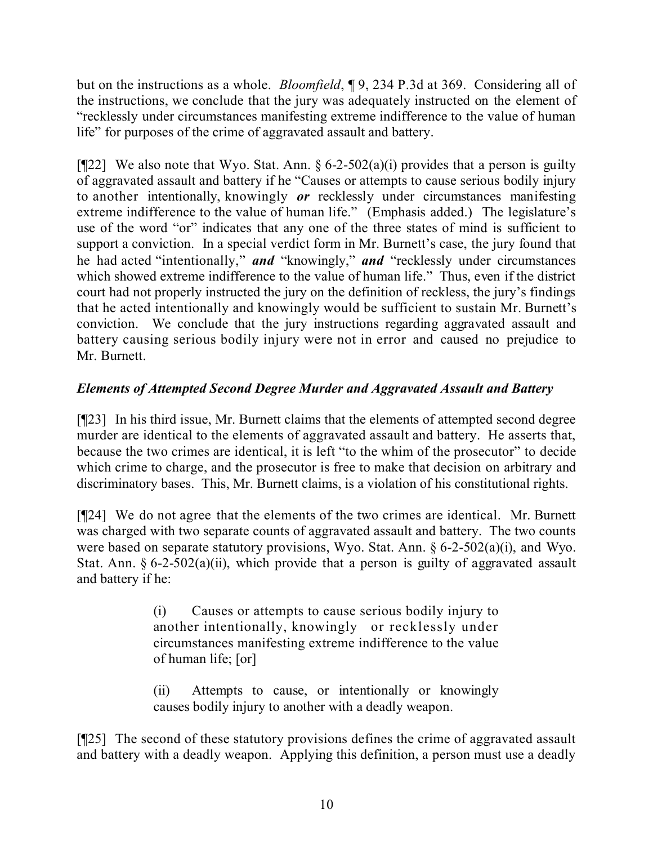but on the instructions as a whole. *Bloomfield*, ¶ 9, 234 P.3d at 369. Considering all of the instructions, we conclude that the jury was adequately instructed on the element of "recklessly under circumstances manifesting extreme indifference to the value of human life" for purposes of the crime of aggravated assault and battery.

[ $[$ [22] We also note that Wyo. Stat. Ann.  $\S 6$ -2-502(a)(i) provides that a person is guilty of aggravated assault and battery if he "Causes or attempts to cause serious bodily injury to another intentionally, knowingly *or* recklessly under circumstances manifesting extreme indifference to the value of human life." (Emphasis added.) The legislature's use of the word "or" indicates that any one of the three states of mind is sufficient to support a conviction. In a special verdict form in Mr. Burnett's case, the jury found that he had acted "intentionally," *and* "knowingly," *and* "recklessly under circumstances which showed extreme indifference to the value of human life." Thus, even if the district court had not properly instructed the jury on the definition of reckless, the jury's findings that he acted intentionally and knowingly would be sufficient to sustain Mr. Burnett's conviction. We conclude that the jury instructions regarding aggravated assault and battery causing serious bodily injury were not in error and caused no prejudice to Mr. Burnett.

# *Elements of Attempted Second Degree Murder and Aggravated Assault and Battery*

[¶23] In his third issue, Mr. Burnett claims that the elements of attempted second degree murder are identical to the elements of aggravated assault and battery. He asserts that, because the two crimes are identical, it is left "to the whim of the prosecutor" to decide which crime to charge, and the prosecutor is free to make that decision on arbitrary and discriminatory bases. This, Mr. Burnett claims, is a violation of his constitutional rights.

[¶24] We do not agree that the elements of the two crimes are identical. Mr. Burnett was charged with two separate counts of aggravated assault and battery. The two counts were based on separate statutory provisions, Wyo. Stat. Ann. § 6-2-502(a)(i), and Wyo. Stat. Ann.  $\S 6$ -2-502(a)(ii), which provide that a person is guilty of aggravated assault and battery if he:

> (i) Causes or attempts to cause serious bodily injury to another intentionally, knowingly or recklessly under circumstances manifesting extreme indifference to the value of human life; [or]

(ii) Attempts to cause, or intentionally or knowingly causes bodily injury to another with a deadly weapon.

[¶25] The second of these statutory provisions defines the crime of aggravated assault and battery with a deadly weapon. Applying this definition, a person must use a deadly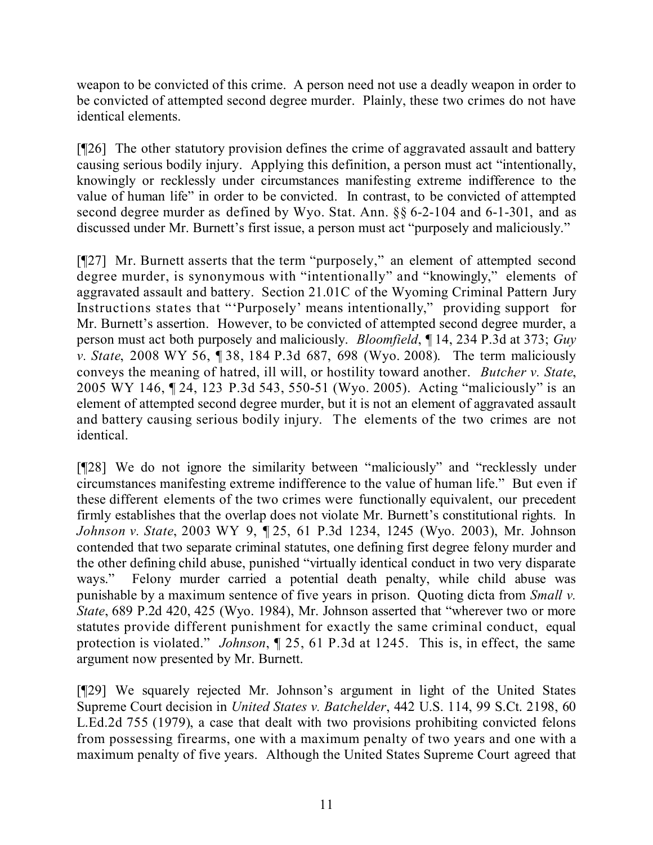weapon to be convicted of this crime. A person need not use a deadly weapon in order to be convicted of attempted second degree murder. Plainly, these two crimes do not have identical elements.

[¶26] The other statutory provision defines the crime of aggravated assault and battery causing serious bodily injury. Applying this definition, a person must act "intentionally, knowingly or recklessly under circumstances manifesting extreme indifference to the value of human life" in order to be convicted. In contrast, to be convicted of attempted second degree murder as defined by Wyo. Stat. Ann. §§ 6-2-104 and 6-1-301, and as discussed under Mr. Burnett's first issue, a person must act "purposely and maliciously."

[¶27] Mr. Burnett asserts that the term "purposely," an element of attempted second degree murder, is synonymous with "intentionally" and "knowingly," elements of aggravated assault and battery. Section 21.01C of the Wyoming Criminal Pattern Jury Instructions states that "'Purposely' means intentionally," providing support for Mr. Burnett's assertion. However, to be convicted of attempted second degree murder, a person must act both purposely and maliciously. *Bloomfield*, ¶ 14, 234 P.3d at 373; *Guy v. State*, 2008 WY 56, ¶ 38, 184 P.3d 687, 698 (Wyo. 2008). The term maliciously conveys the meaning of hatred, ill will, or hostility toward another. *Butcher v. State*, 2005 WY 146, ¶ 24, 123 P.3d 543, 550-51 (Wyo. 2005). Acting "maliciously" is an element of attempted second degree murder, but it is not an element of aggravated assault and battery causing serious bodily injury. The elements of the two crimes are not identical.

[¶28] We do not ignore the similarity between "maliciously" and "recklessly under circumstances manifesting extreme indifference to the value of human life." But even if these different elements of the two crimes were functionally equivalent, our precedent firmly establishes that the overlap does not violate Mr. Burnett's constitutional rights. In *Johnson v. State*, 2003 WY 9, ¶ 25, 61 P.3d 1234, 1245 (Wyo. 2003), Mr. Johnson contended that two separate criminal statutes, one defining first degree felony murder and the other defining child abuse, punished "virtually identical conduct in two very disparate ways." Felony murder carried a potential death penalty, while child abuse was punishable by a maximum sentence of five years in prison. Quoting dicta from *Small v. State*, 689 P.2d 420, 425 (Wyo. 1984), Mr. Johnson asserted that "wherever two or more statutes provide different punishment for exactly the same criminal conduct, equal protection is violated." *Johnson*, ¶ 25, 61 P.3d at 1245. This is, in effect, the same argument now presented by Mr. Burnett.

[¶29] We squarely rejected Mr. Johnson's argument in light of the United States Supreme Court decision in *United States v. Batchelder*, 442 U.S. 114, 99 S.Ct. 2198, 60 L.Ed.2d 755 (1979), a case that dealt with two provisions prohibiting convicted felons from possessing firearms, one with a maximum penalty of two years and one with a maximum penalty of five years. Although the United States Supreme Court agreed that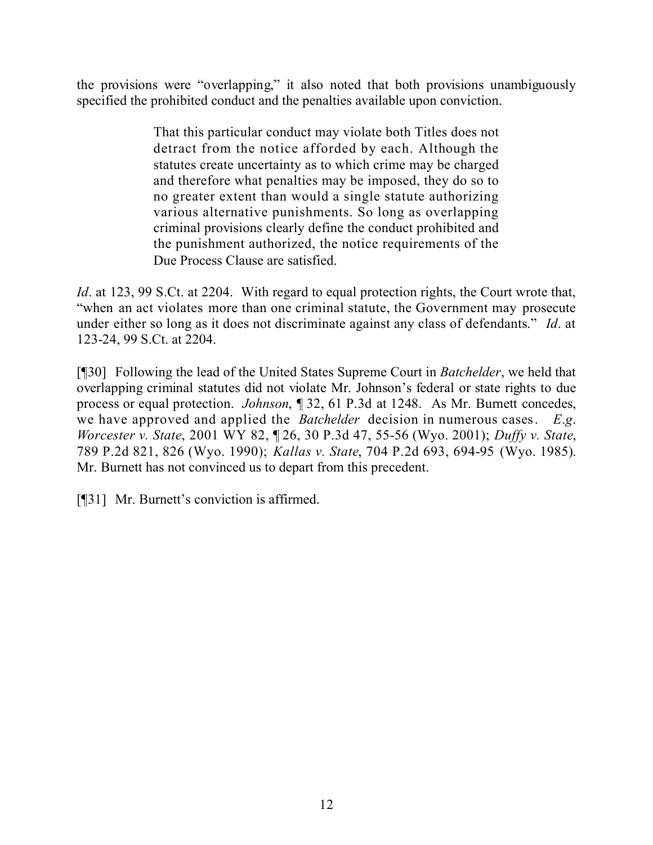the provisions were "overlapping," it also noted that both provisions unambiguously specified the prohibited conduct and the penalties available upon conviction.

> That this particular conduct may violate both Titles does not detract from the notice afforded by each. Although the statutes create uncertainty as to which crime may be charged and therefore what penalties may be imposed, they do so to no greater extent than would a single statute authorizing various alternative punishments. So long as overlapping criminal provisions clearly define the conduct prohibited and the punishment authorized, the notice requirements of the Due Process Clause are satisfied.

*Id.* at 123, 99 S.Ct. at 2204. With regard to equal protection rights, the Court wrote that, "when an act violates more than one criminal statute, the Government may prosecute under either so long as it does not discriminate against any class of defendants." *Id*. at 123-24, 99 S.Ct. at 2204.

[¶30] Following the lead of the United States Supreme Court in *Batchelder*, we held that overlapping criminal statutes did not violate Mr. Johnson's federal or state rights to due process or equal protection. *Johnson*, ¶ 32, 61 P.3d at 1248. As Mr. Burnett concedes, we have approved and applied the *Batchelder* decision in numerous cases. *E*.*g*. *Worcester v. State*, 2001 WY 82, ¶ 26, 30 P.3d 47, 55-56 (Wyo. 2001); *Duffy v. State*, 789 P.2d 821, 826 (Wyo. 1990); *Kallas v. State*, 704 P.2d 693, 694-95 (Wyo. 1985). Mr. Burnett has not convinced us to depart from this precedent.

[¶31] Mr. Burnett's conviction is affirmed.